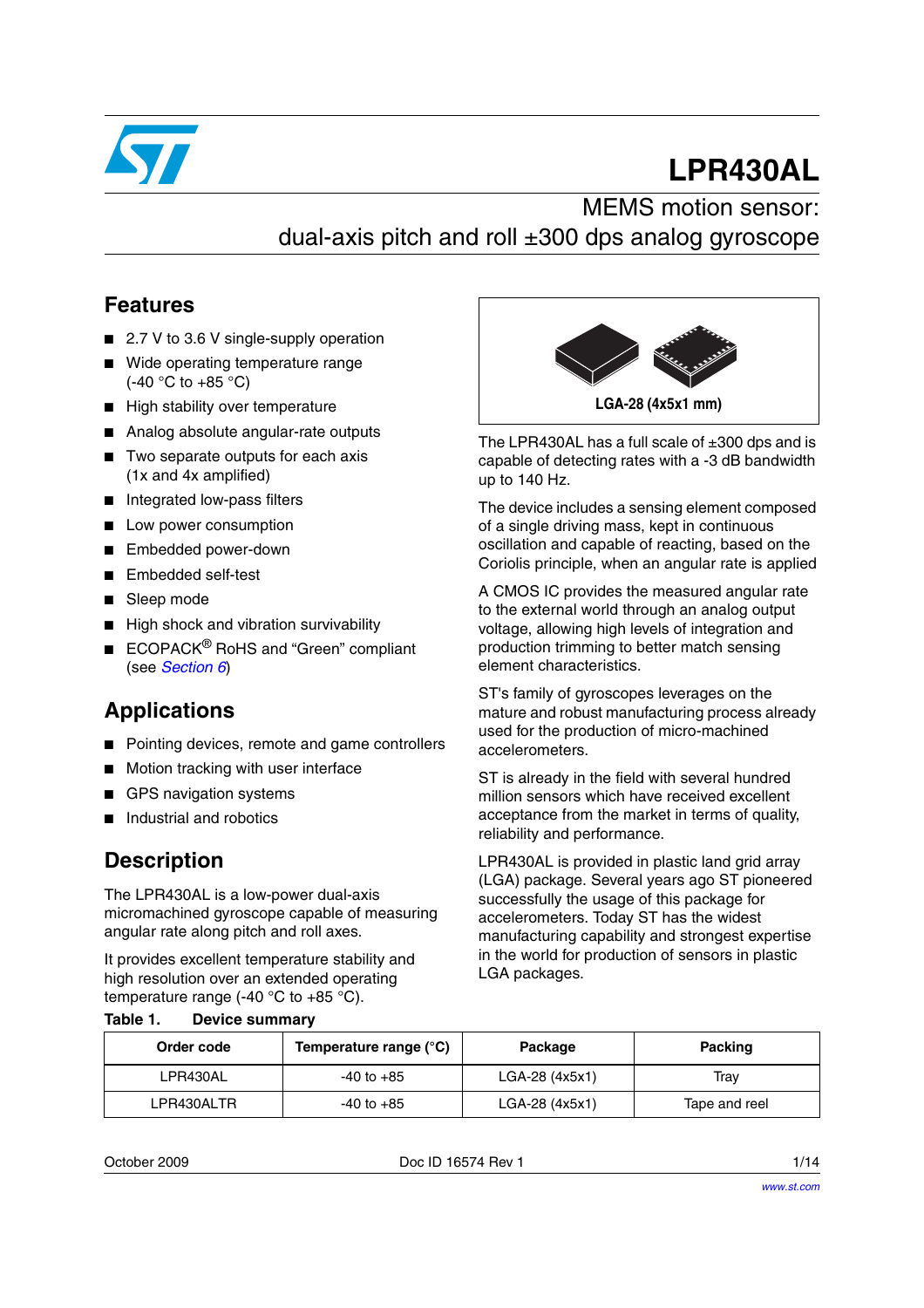

# **LPR430AL**

### MEMS motion sensor: dual-axis pitch and roll ±300 dps analog gyroscope

#### **Features**

- 2.7 V to 3.6 V single-supply operation
- Wide operating temperature range (-40 °C to +85 °C)
- High stability over temperature
- Analog absolute angular-rate outputs
- Two separate outputs for each axis (1x and 4x amplified)
- Integrated low-pass filters
- Low power consumption
- Embedded power-down
- Embedded self-test
- Sleep mode
- High shock and vibration survivability
- ECOPACK<sup>®</sup> RoHS and "Green" compliant (see *[Section 6](#page-11-0)*)

#### **Applications**

- Pointing devices, remote and game controllers
- Motion tracking with user interface
- GPS navigation systems

**Table 1. Device summary**

Industrial and robotics

#### **Description**

The LPR430AL is a low-power dual-axis micromachined gyroscope capable of measuring angular rate along pitch and roll axes.

It provides excellent temperature stability and high resolution over an extended operating temperature range (-40  $^{\circ}$ C to +85  $^{\circ}$ C).



The LPR430AL has a full scale of  $\pm 300$  dps and is capable of detecting rates with a -3 dB bandwidth up to 140 Hz.

The device includes a sensing element composed of a single driving mass, kept in continuous oscillation and capable of reacting, based on the Coriolis principle, when an angular rate is applied

A CMOS IC provides the measured angular rate to the external world through an analog output voltage, allowing high levels of integration and production trimming to better match sensing element characteristics.

ST's family of gyroscopes leverages on the mature and robust manufacturing process already used for the production of micro-machined accelerometers.

ST is already in the field with several hundred million sensors which have received excellent acceptance from the market in terms of quality, reliability and performance.

LPR430AL is provided in plastic land grid array (LGA) package. Several years ago ST pioneered successfully the usage of this package for accelerometers. Today ST has the widest manufacturing capability and strongest expertise in the world for production of sensors in plastic LGA packages.

| Order code | Temperature range (°C) | Package        | Packing       |
|------------|------------------------|----------------|---------------|
| LPR430AL   | $-40$ to $+85$         | LGA-28 (4x5x1) | Trav          |
| LPR430ALTR | $-40$ to $+85$         | LGA-28 (4x5x1) | Tape and reel |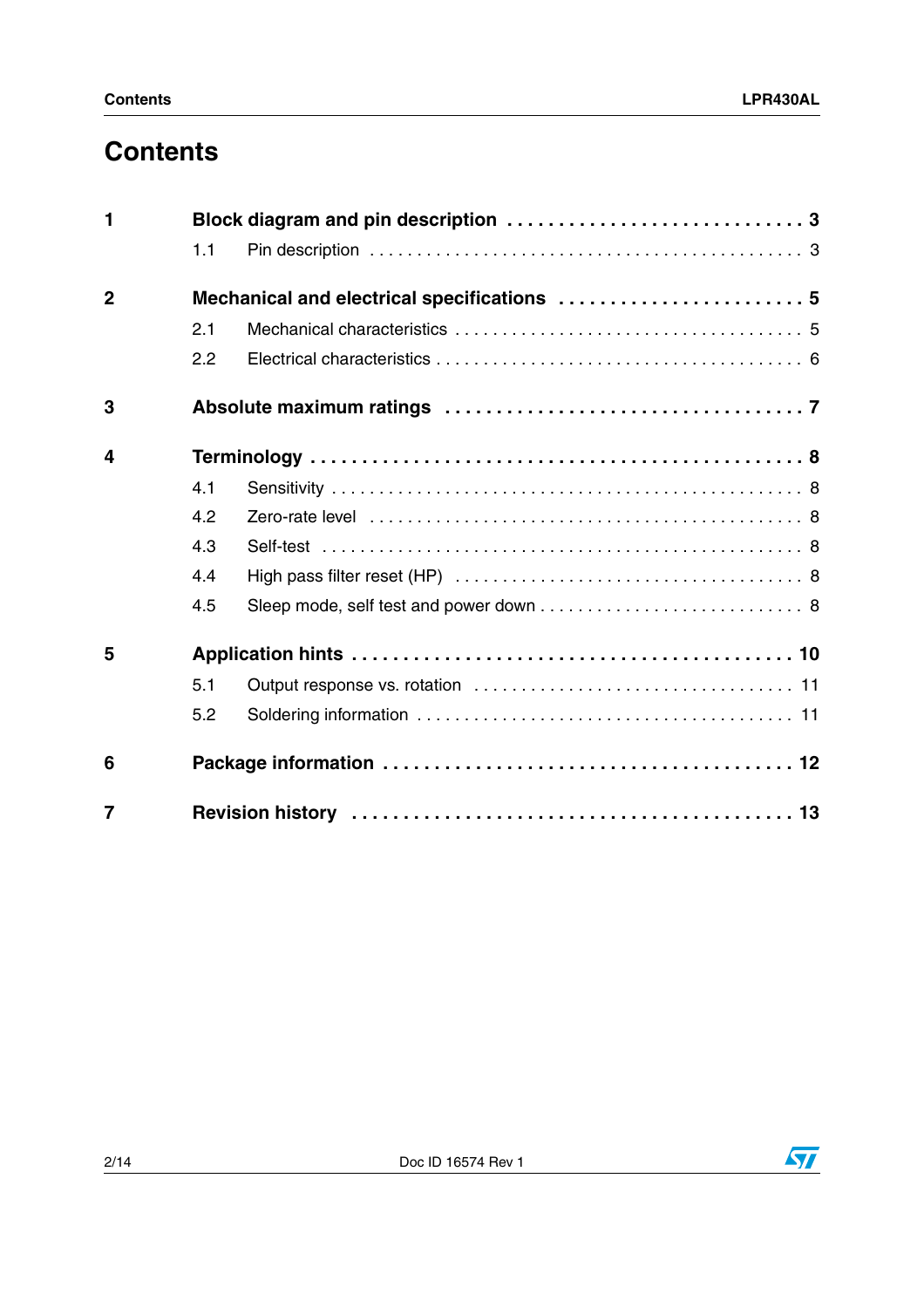## **Contents**

| $\mathbf{1}$   |     |  |
|----------------|-----|--|
|                | 1.1 |  |
| $\overline{2}$ |     |  |
|                | 2.1 |  |
|                | 2.2 |  |
| 3              |     |  |
| 4              |     |  |
|                | 4.1 |  |
|                | 4.2 |  |
|                | 4.3 |  |
|                | 4.4 |  |
|                | 4.5 |  |
| 5              |     |  |
|                | 5.1 |  |
|                | 5.2 |  |
| 6              |     |  |
| $\overline{7}$ |     |  |

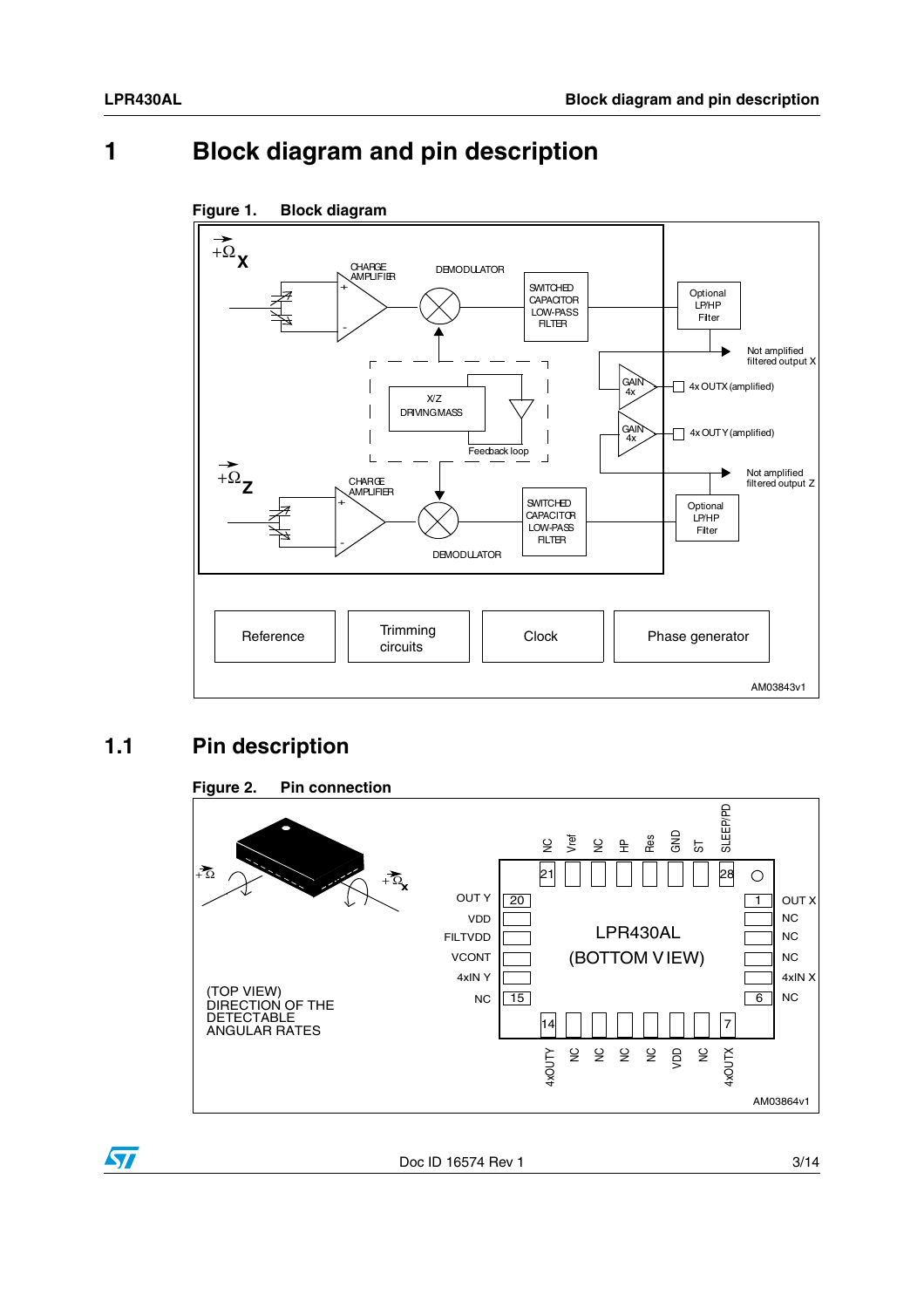### <span id="page-2-0"></span>**1 Block diagram and pin description**



#### **Figure 1. Block diagram**

#### <span id="page-2-1"></span>**1.1 Pin description**



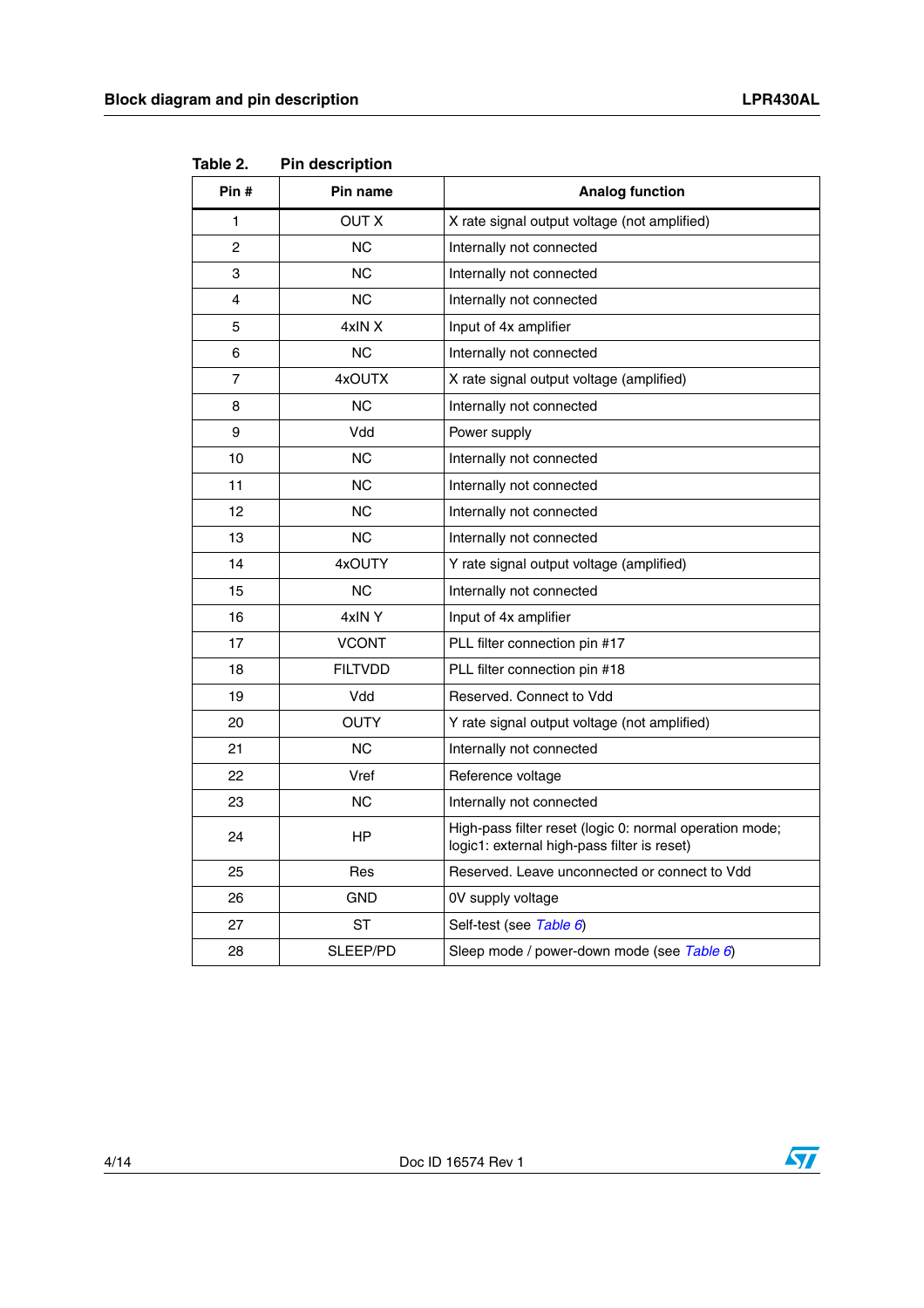| Pin #        | Pin name       | <b>Analog function</b>                                                                                 |
|--------------|----------------|--------------------------------------------------------------------------------------------------------|
| $\mathbf{1}$ | <b>OUT X</b>   | X rate signal output voltage (not amplified)                                                           |
| 2            | ΝC             | Internally not connected                                                                               |
| 3            | <b>NC</b>      | Internally not connected                                                                               |
| 4            | <b>NC</b>      | Internally not connected                                                                               |
| 5            | 4xIN X         | Input of 4x amplifier                                                                                  |
| 6            | <b>NC</b>      | Internally not connected                                                                               |
| 7            | 4xOUTX         | X rate signal output voltage (amplified)                                                               |
| 8            | NС             | Internally not connected                                                                               |
| 9            | Vdd            | Power supply                                                                                           |
| 10           | ΝC             | Internally not connected                                                                               |
| 11           | <b>NC</b>      | Internally not connected                                                                               |
| 12           | <b>NC</b>      | Internally not connected                                                                               |
| 13           | ΝC             | Internally not connected                                                                               |
| 14           | 4xOUTY         | Y rate signal output voltage (amplified)                                                               |
| 15           | <b>NC</b>      | Internally not connected                                                                               |
| 16           | 4xINY          | Input of 4x amplifier                                                                                  |
| 17           | <b>VCONT</b>   | PLL filter connection pin #17                                                                          |
| 18           | <b>FILTVDD</b> | PLL filter connection pin #18                                                                          |
| 19           | Vdd            | Reserved, Connect to Vdd                                                                               |
| 20           | <b>OUTY</b>    | Y rate signal output voltage (not amplified)                                                           |
| 21           | ΝC             | Internally not connected                                                                               |
| 22           | Vref           | Reference voltage                                                                                      |
| 23           | <b>NC</b>      | Internally not connected                                                                               |
| 24           | HP             | High-pass filter reset (logic 0: normal operation mode;<br>logic1: external high-pass filter is reset) |
| 25           | Res            | Reserved. Leave unconnected or connect to Vdd                                                          |
| 26           | <b>GND</b>     | 0V supply voltage                                                                                      |
| 27           | <b>ST</b>      | Self-test (see Table 6)                                                                                |
| 28           | SLEEP/PD       | Sleep mode / power-down mode (see Table 6)                                                             |

**Table 2. Pin description**



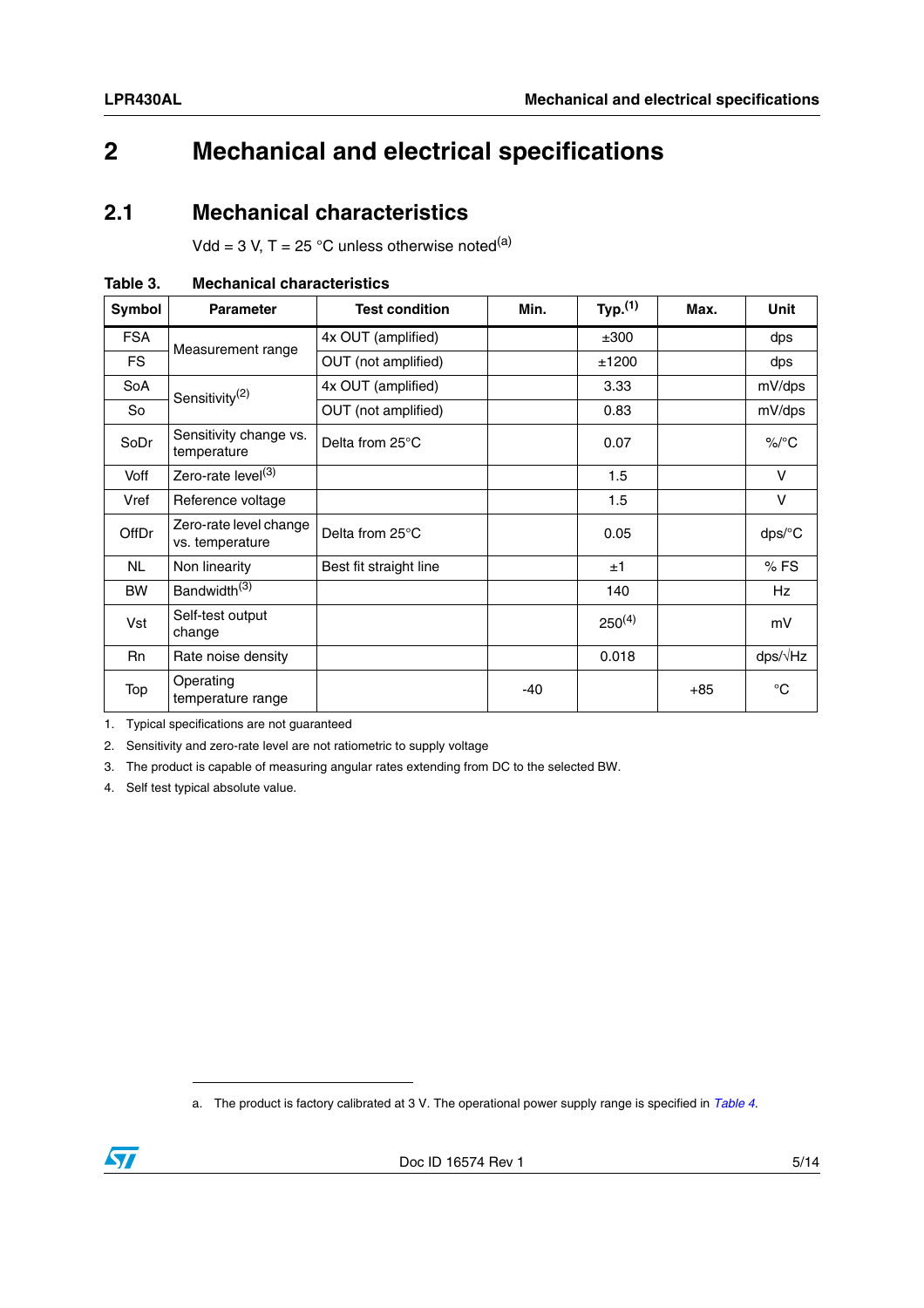### <span id="page-4-0"></span>**2 Mechanical and electrical specifications**

#### <span id="page-4-1"></span>**2.1 Mechanical characteristics**

Vdd = 3 V, T = 25 °C unless otherwise noted<sup>(a)</sup>

| Symbol       | <b>Parameter</b>                          | <b>Test condition</b>  | Min.  | Typ. <sup>(1)</sup> | Max.  | <b>Unit</b>          |
|--------------|-------------------------------------------|------------------------|-------|---------------------|-------|----------------------|
| <b>FSA</b>   |                                           | 4x OUT (amplified)     |       | ±300                |       | dps                  |
| FS.          | Measurement range                         | OUT (not amplified)    |       | ±1200               |       | dps                  |
| SoA          | Sensitivity <sup>(2)</sup>                | 4x OUT (amplified)     |       | 3.33                |       | mV/dps               |
| So           |                                           | OUT (not amplified)    |       | 0.83                |       | mV/dps               |
| SoDr         | Sensitivity change vs.<br>temperature     | Delta from 25°C        |       | 0.07                |       | $\%$ <sup>o</sup> C  |
| Voff         | Zero-rate level <sup>(3)</sup>            |                        |       | 1.5                 |       | $\vee$               |
| Vref         | Reference voltage                         |                        |       | 1.5                 |       | $\vee$               |
| <b>OffDr</b> | Zero-rate level change<br>vs. temperature | Delta from 25°C        |       | 0.05                |       | $dps$ <sup>o</sup> C |
| NL.          | Non linearity                             | Best fit straight line |       | ±1                  |       | $%$ FS               |
| <b>BW</b>    | Bandwidth <sup>(3)</sup>                  |                        |       | 140                 |       | Hz                   |
| Vst          | Self-test output<br>change                |                        |       | $250^{(4)}$         |       | mV                   |
| <b>Rn</b>    | Rate noise density                        |                        |       | 0.018               |       | $dps/\sqrt{Hz}$      |
| Top          | Operating<br>temperature range            |                        | $-40$ |                     | $+85$ | $^{\circ}C$          |

<span id="page-4-2"></span>

| Table 3. | <b>Mechanical characteristics</b> |
|----------|-----------------------------------|
|          |                                   |

1. Typical specifications are not guaranteed

2. Sensitivity and zero-rate level are not ratiometric to supply voltage

3. The product is capable of measuring angular rates extending from DC to the selected BW.

4. Self test typical absolute value.

a. The product is factory calibrated at 3 V. The operational power supply range is specified in *[Table 4](#page-5-1)*.

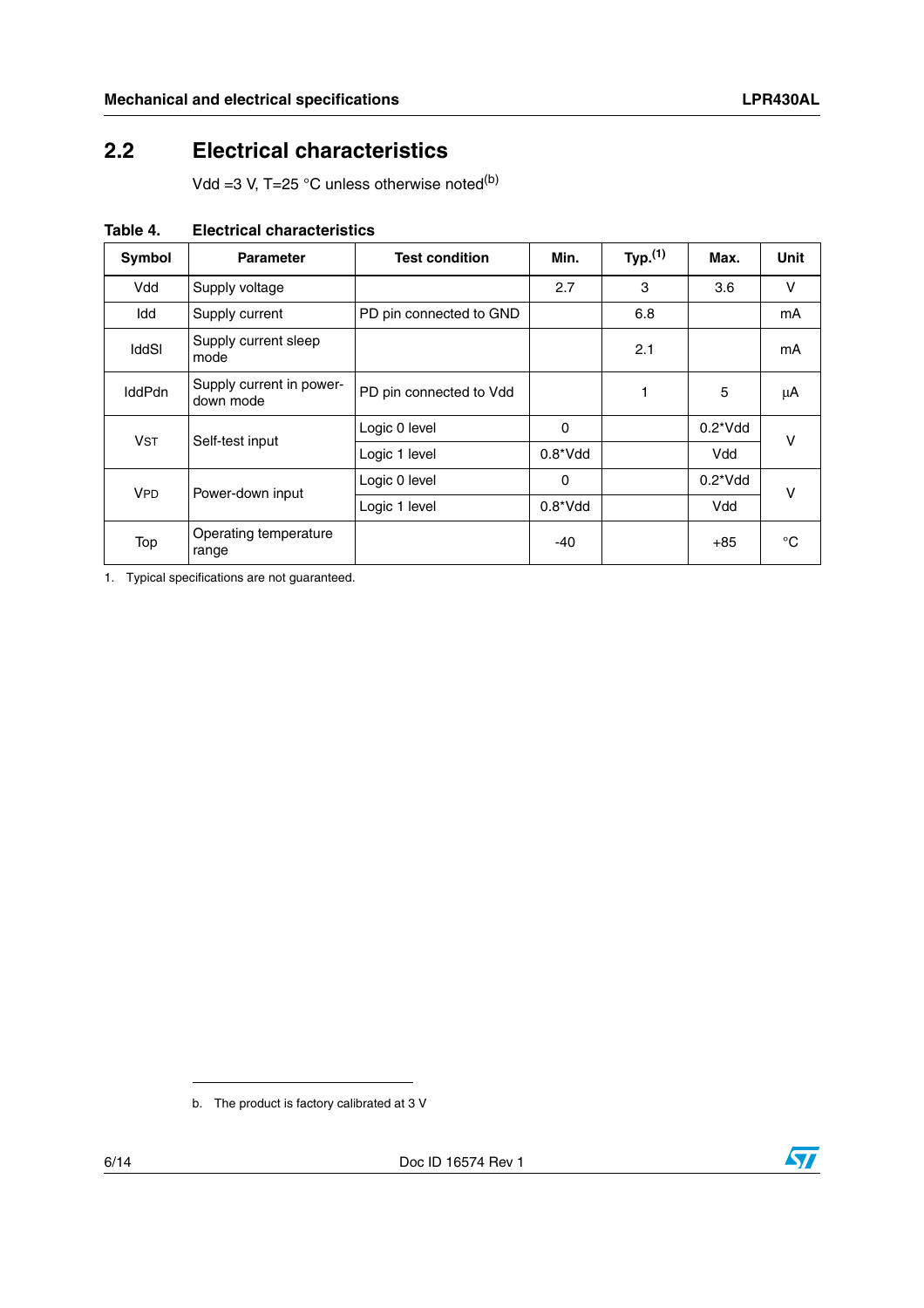### <span id="page-5-0"></span>**2.2 Electrical characteristics**

Vdd =3 V, T=25  $^{\circ}$ C unless otherwise noted<sup>(b)</sup>

| Symbol                                   | <b>Parameter</b>                      | <b>Test condition</b>   | Min.        | Typ. $(1)$ | Max.             | <b>Unit</b> |
|------------------------------------------|---------------------------------------|-------------------------|-------------|------------|------------------|-------------|
| Vdd                                      | Supply voltage                        |                         | 2.7         | 3          | 3.6              | v           |
| Idd                                      | Supply current                        | PD pin connected to GND |             | 6.8        |                  | mA          |
| <b>IddSI</b>                             | Supply current sleep<br>mode          |                         |             | 2.1        |                  | mA          |
| <b>IddPdn</b>                            | Supply current in power-<br>down mode | PD pin connected to Vdd |             |            | 5                | μA          |
| <b>V<sub>ST</sub></b><br>Self-test input |                                       | Logic 0 level           | 0           |            | $0.2^{\ast}$ Vdd | v           |
|                                          |                                       | Logic 1 level           | $0.8^*V$ dd |            | Vdd              |             |
| <b>VPD</b><br>Power-down input           |                                       | Logic 0 level           | 0           |            | $0.2^{\ast}$ Vdd | v           |
|                                          |                                       | Logic 1 level           | $0.8^*V$ dd |            | Vdd              |             |
| Top                                      | Operating temperature<br>range        |                         | $-40$       |            | $+85$            | °C          |

<span id="page-5-1"></span>**Table 4. Electrical characteristics**

1. Typical specifications are not guaranteed.



b. The product is factory calibrated at 3 V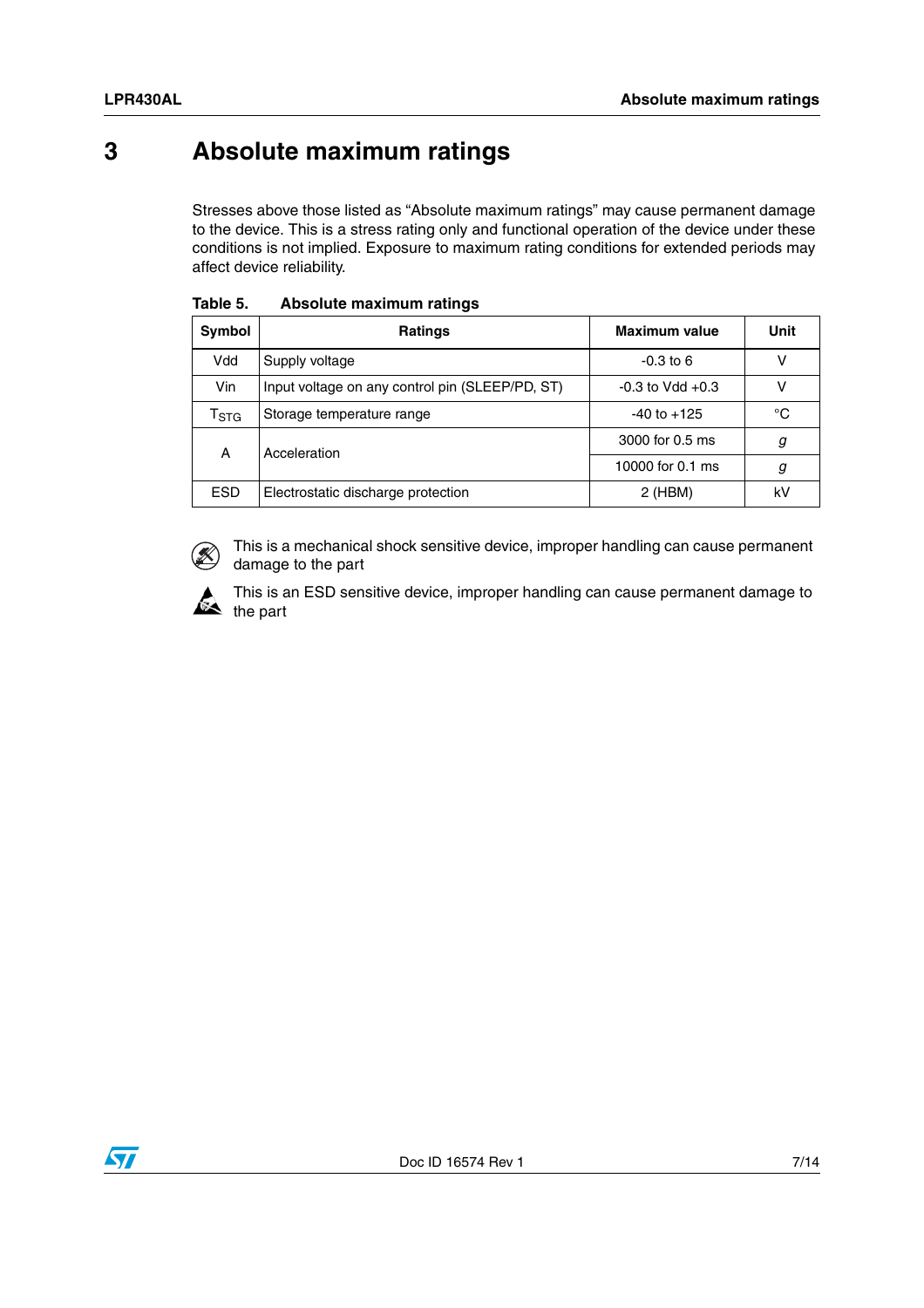### <span id="page-6-0"></span>**3 Absolute maximum ratings**

Stresses above those listed as "Absolute maximum ratings" may cause permanent damage to the device. This is a stress rating only and functional operation of the device under these conditions is not implied. Exposure to maximum rating conditions for extended periods may affect device reliability.

| Symbol                      | <b>Ratings</b>                                  | <b>Maximum value</b> | Unit |
|-----------------------------|-------------------------------------------------|----------------------|------|
| Vdd                         | Supply voltage                                  | $-0.3$ to 6          | v    |
| Vin                         | Input voltage on any control pin (SLEEP/PD, ST) | $-0.3$ to Vdd $+0.3$ | ٧    |
| $\mathsf{r}_{\texttt{STG}}$ | Storage temperature range                       | $-40$ to $+125$      | °C   |
| Α                           | Acceleration                                    | 3000 for 0.5 ms      | g    |
|                             |                                                 | 10000 for 0.1 ms     | g    |
| <b>ESD</b>                  | Electrostatic discharge protection              | $2$ (HBM)            | kV   |

|  | Table 5. | Absolute maximum ratings |
|--|----------|--------------------------|
|--|----------|--------------------------|



This is a mechanical shock sensitive device, improper handling can cause permanent damage to the part



This is an ESD sensitive device, improper handling can cause permanent damage to  $\sum_{\text{the part}}$ 

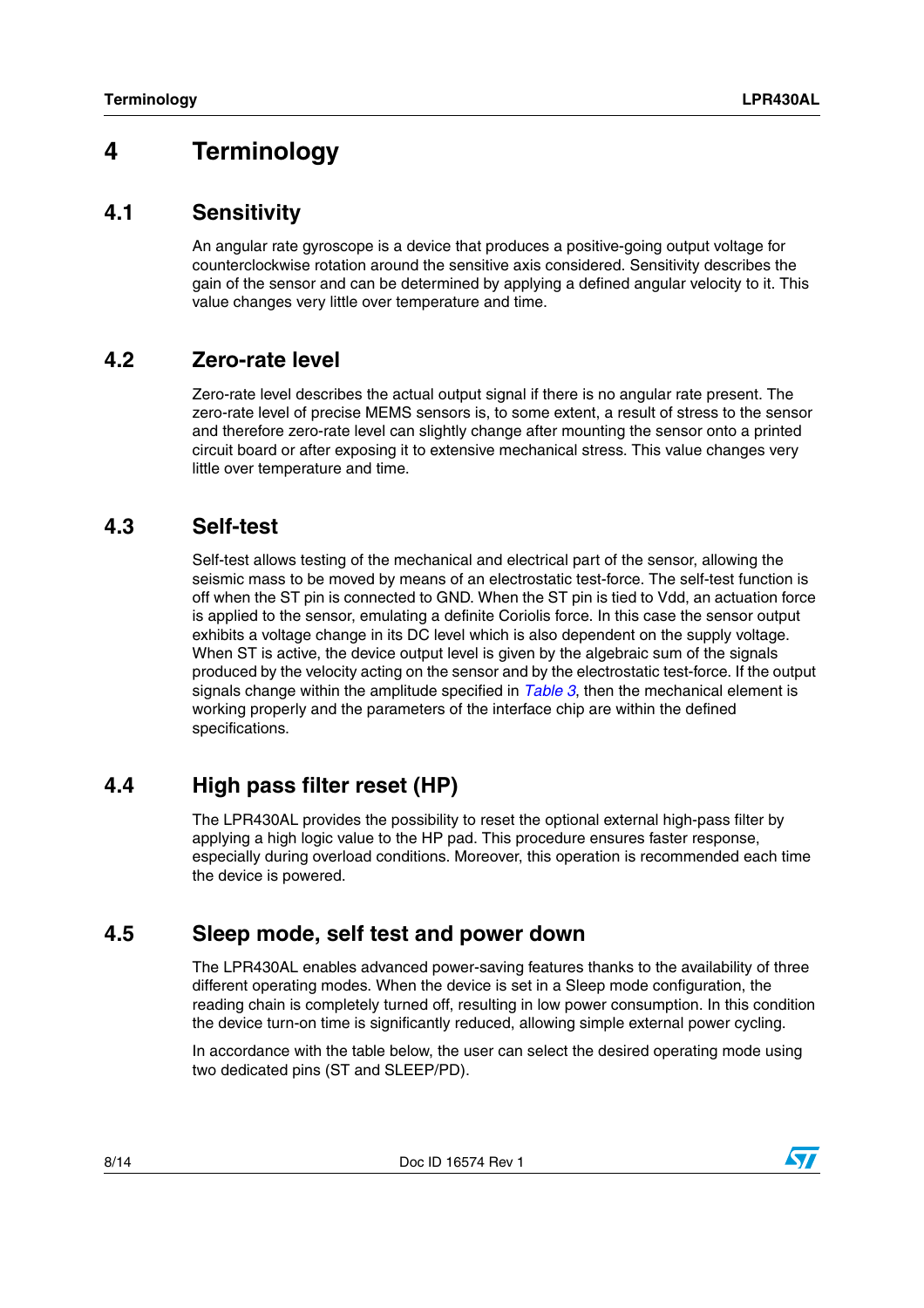### <span id="page-7-0"></span>**4 Terminology**

#### <span id="page-7-1"></span>**4.1 Sensitivity**

An angular rate gyroscope is a device that produces a positive-going output voltage for counterclockwise rotation around the sensitive axis considered. Sensitivity describes the gain of the sensor and can be determined by applying a defined angular velocity to it. This value changes very little over temperature and time.

#### <span id="page-7-2"></span>**4.2 Zero-rate level**

Zero-rate level describes the actual output signal if there is no angular rate present. The zero-rate level of precise MEMS sensors is, to some extent, a result of stress to the sensor and therefore zero-rate level can slightly change after mounting the sensor onto a printed circuit board or after exposing it to extensive mechanical stress. This value changes very little over temperature and time.

#### <span id="page-7-3"></span>**4.3 Self-test**

Self-test allows testing of the mechanical and electrical part of the sensor, allowing the seismic mass to be moved by means of an electrostatic test-force. The self-test function is off when the ST pin is connected to GND. When the ST pin is tied to Vdd, an actuation force is applied to the sensor, emulating a definite Coriolis force. In this case the sensor output exhibits a voltage change in its DC level which is also dependent on the supply voltage. When ST is active, the device output level is given by the algebraic sum of the signals produced by the velocity acting on the sensor and by the electrostatic test-force. If the output signals change within the amplitude specified in *[Table 3](#page-4-2)*, then the mechanical element is working properly and the parameters of the interface chip are within the defined specifications.

#### <span id="page-7-4"></span>**4.4 High pass filter reset (HP)**

The LPR430AL provides the possibility to reset the optional external high-pass filter by applying a high logic value to the HP pad. This procedure ensures faster response, especially during overload conditions. Moreover, this operation is recommended each time the device is powered.

#### <span id="page-7-5"></span>**4.5 Sleep mode, self test and power down**

The LPR430AL enables advanced power-saving features thanks to the availability of three different operating modes. When the device is set in a Sleep mode configuration, the reading chain is completely turned off, resulting in low power consumption. In this condition the device turn-on time is significantly reduced, allowing simple external power cycling.

In accordance with the table below, the user can select the desired operating mode using two dedicated pins (ST and SLEEP/PD).

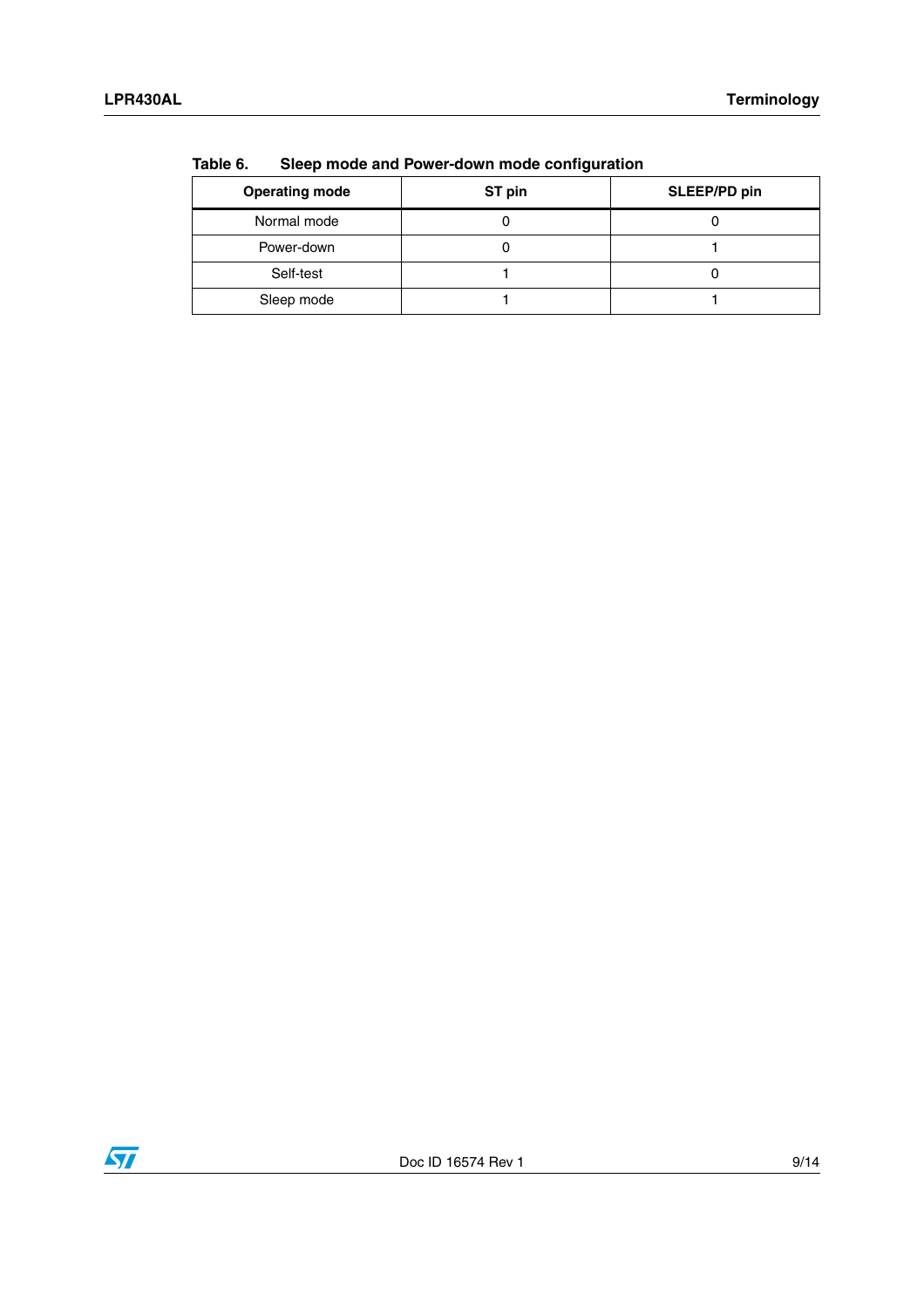| $\sim$                |        |              |  |
|-----------------------|--------|--------------|--|
| <b>Operating mode</b> | ST pin | SLEEP/PD pin |  |
| Normal mode           |        |              |  |
| Power-down            |        |              |  |
| Self-test             |        |              |  |
| Sleep mode            |        |              |  |

<span id="page-8-0"></span>**Table 6. Sleep mode and Power-down mode configuration**

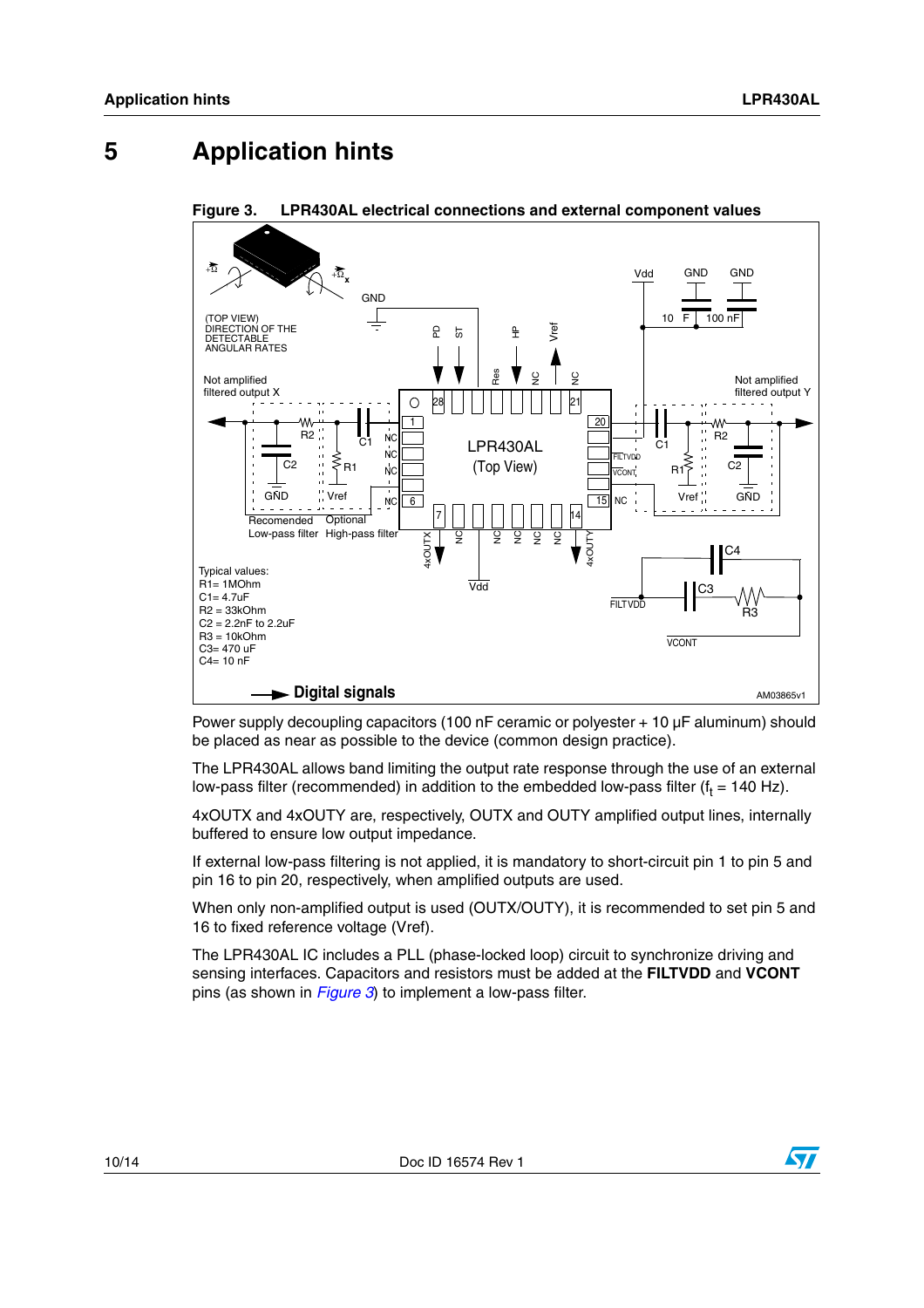### <span id="page-9-0"></span>**5 Application hints**



<span id="page-9-1"></span>**Figure 3. LPR430AL electrical connections and external component values**

Power supply decoupling capacitors (100 nF ceramic or polyester + 10 µF aluminum) should be placed as near as possible to the device (common design practice).

The LPR430AL allows band limiting the output rate response through the use of an external low-pass filter (recommended) in addition to the embedded low-pass filter (f $_{\rm t}$  = 140 Hz).

4xOUTX and 4xOUTY are, respectively, OUTX and OUTY amplified output lines, internally buffered to ensure low output impedance.

If external low-pass filtering is not applied, it is mandatory to short-circuit pin 1 to pin 5 and pin 16 to pin 20, respectively, when amplified outputs are used.

When only non-amplified output is used (OUTX/OUTY), it is recommended to set pin 5 and 16 to fixed reference voltage (Vref).

The LPR430AL IC includes a PLL (phase-locked loop) circuit to synchronize driving and sensing interfaces. Capacitors and resistors must be added at the **FILTVDD** and **VCONT** pins (as shown in *[Figure 3](#page-9-1)*) to implement a low-pass filter.

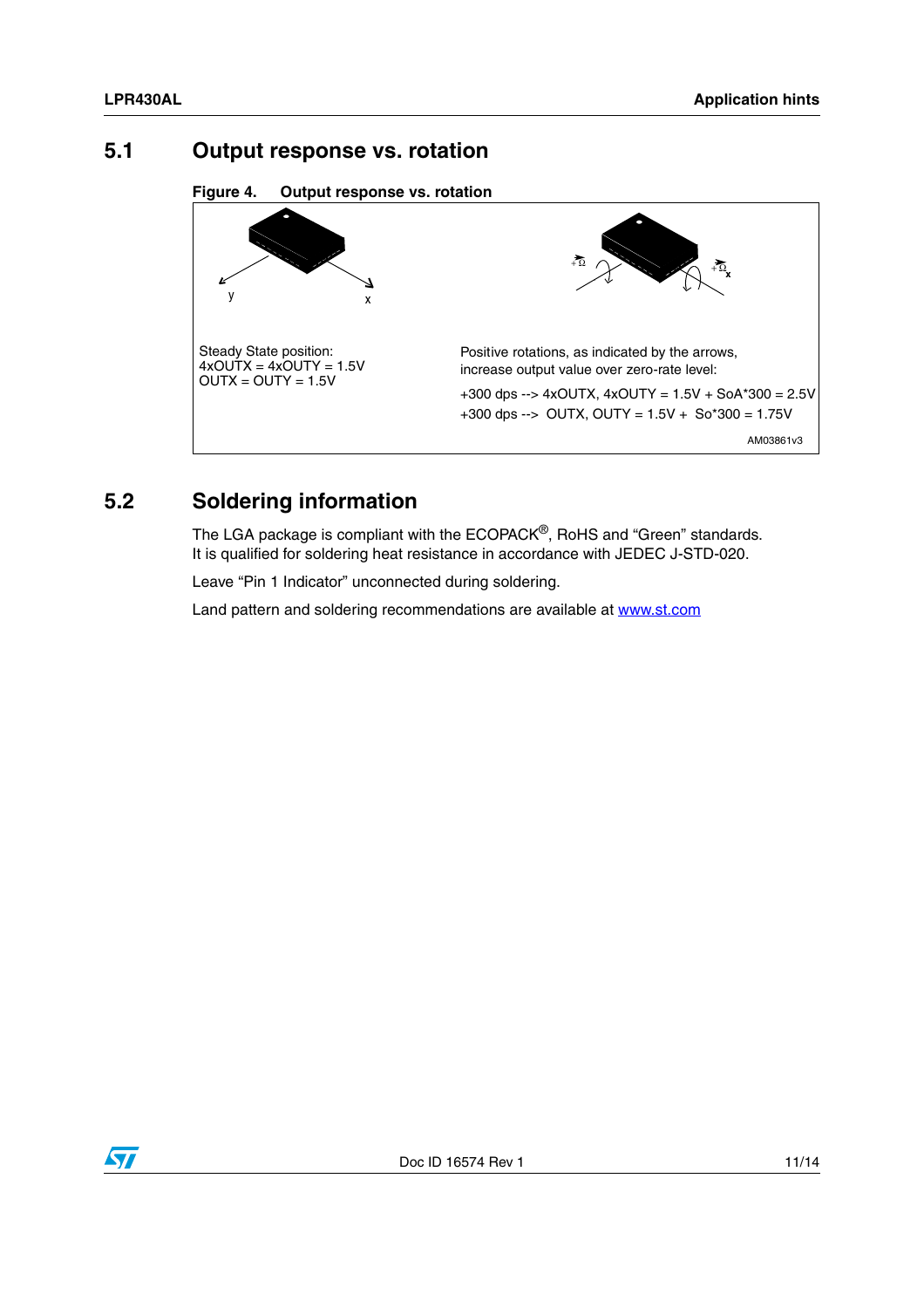#### <span id="page-10-0"></span>**5.1 Output response vs. rotation**

**Figure 4. Output response vs. rotation**



### <span id="page-10-1"></span>**5.2 Soldering information**

The LGA package is compliant with the ECOPACK<sup>®</sup>, RoHS and "Green" standards. It is qualified for soldering heat resistance in accordance with JEDEC J-STD-020.

Leave "Pin 1 Indicator" unconnected during soldering.

Land pattern and soldering recommendations are available at www.st.com

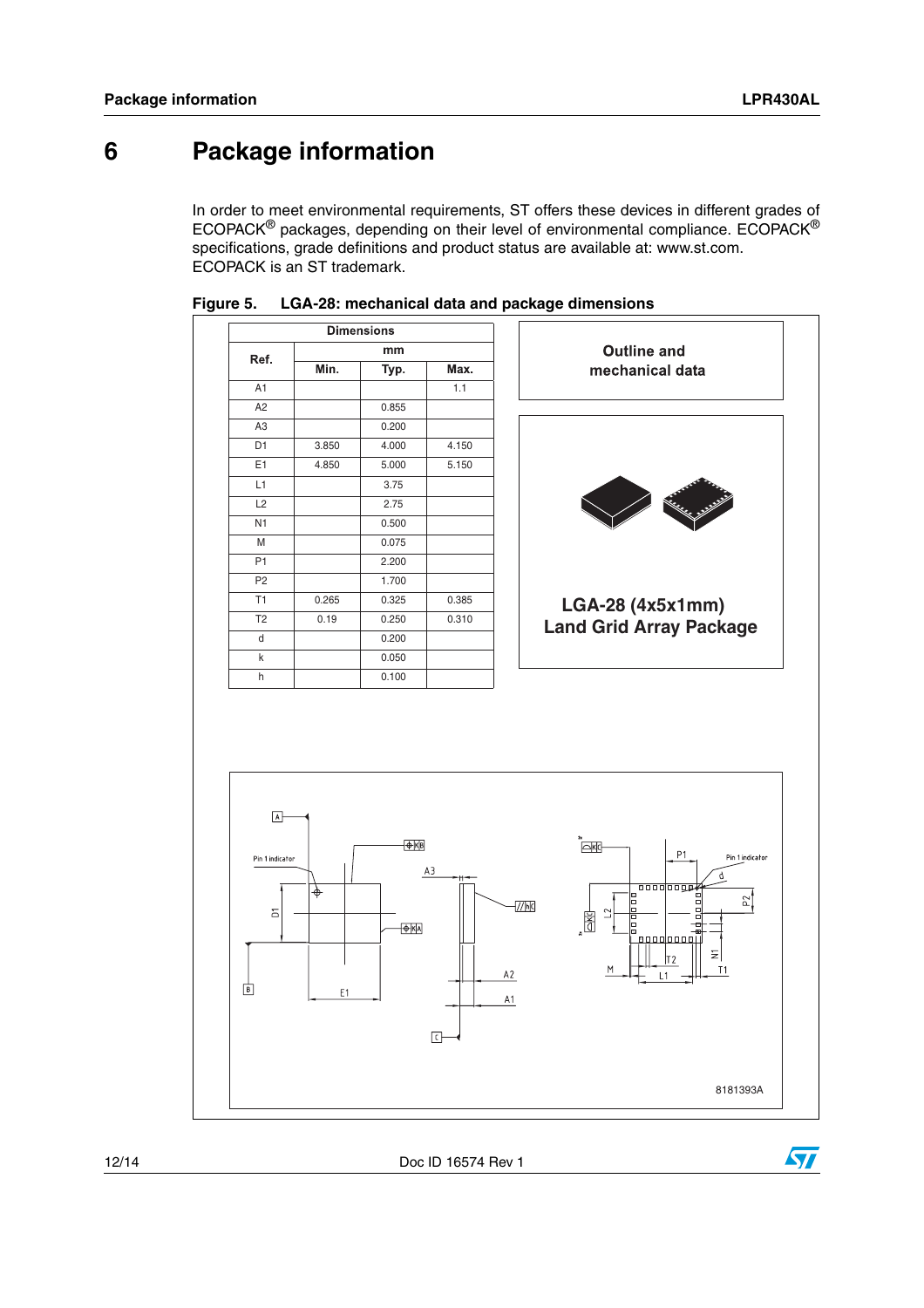$\bm \varpi$ 

### <span id="page-11-0"></span>**6 Package information**

In order to meet environmental requirements, ST offers these devices in different grades of ECOPACK® packages, depending on their level of environmental compliance. ECOPACK® specifications, grade definitions and product status are available at: www.st.com. ECOPACK is an ST trademark.



#### **Figure 5. LGA-28: mechanical data and package dimensions**

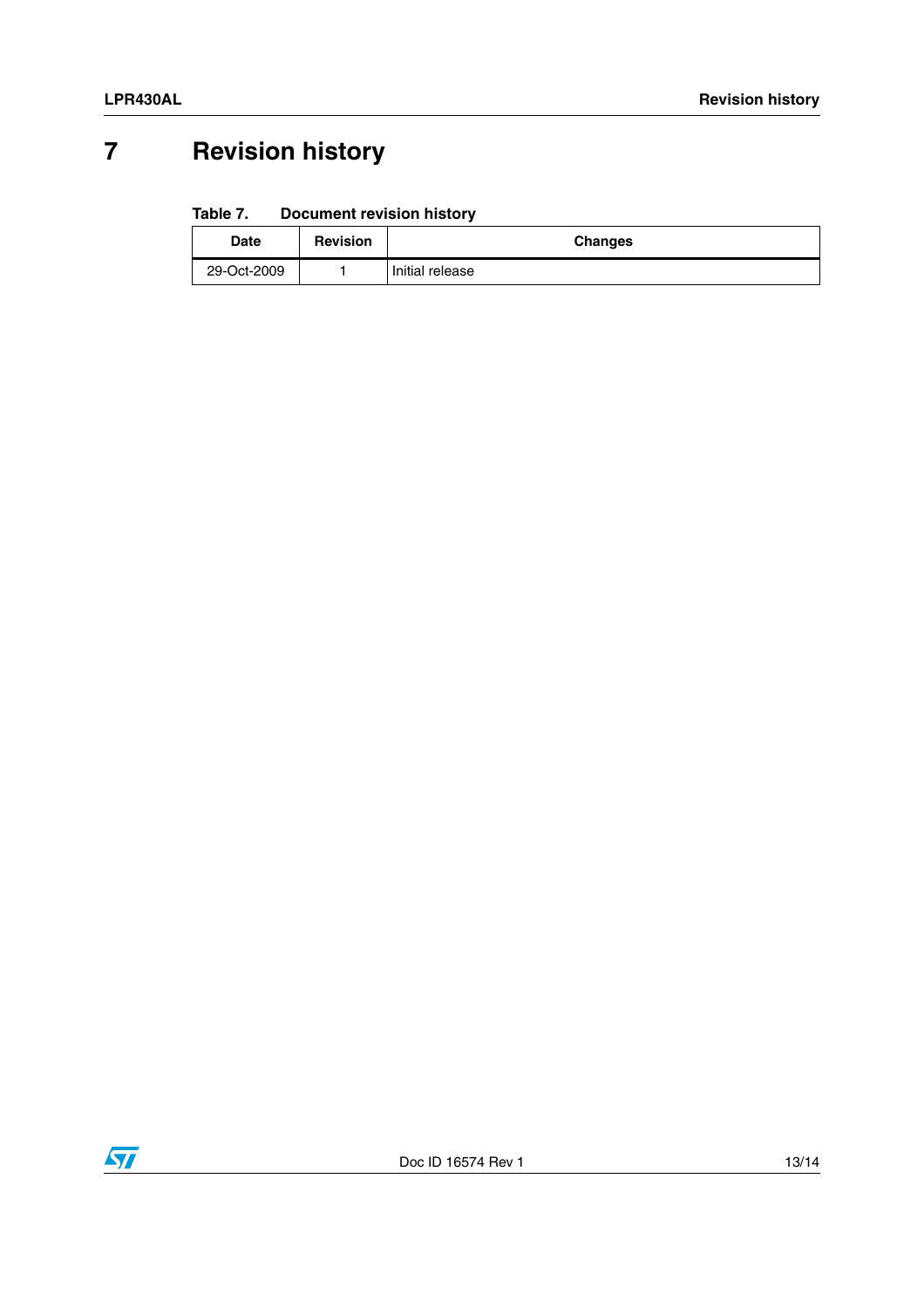## <span id="page-12-0"></span>**7 Revision history**

#### Table 7. **Document revision history**

| Date        | <b>Revision</b> | <b>Changes</b>  |
|-------------|-----------------|-----------------|
| 29-Oct-2009 |                 | Initial release |